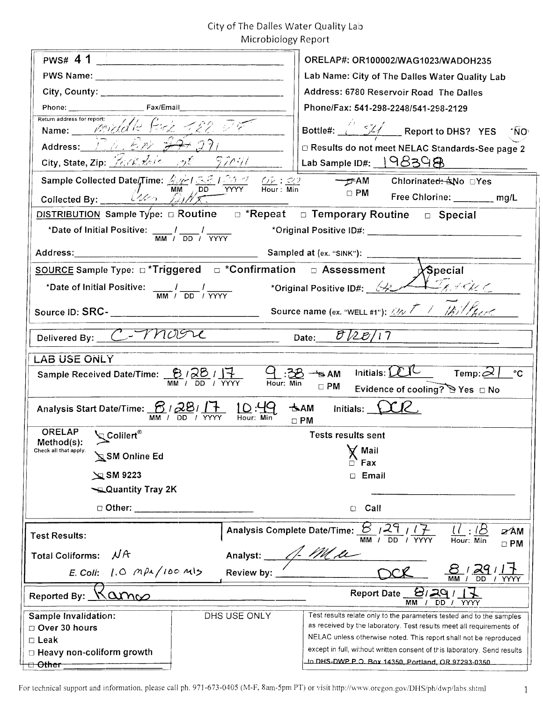# City of The Dalles Water Quality Lab Microbiology Report

| PWS# 4 1                                                                                                                                                                                                                                                                                       | ORELAP#: OR100002/WAG1023/WADOH235                                                                                                            |
|------------------------------------------------------------------------------------------------------------------------------------------------------------------------------------------------------------------------------------------------------------------------------------------------|-----------------------------------------------------------------------------------------------------------------------------------------------|
|                                                                                                                                                                                                                                                                                                | Lab Name: City of The Dalles Water Quality Lab                                                                                                |
|                                                                                                                                                                                                                                                                                                | Address: 6780 Reservoir Road The Dalles                                                                                                       |
|                                                                                                                                                                                                                                                                                                | Phone/Fax: 541-298-2248/541-298-2129                                                                                                          |
| Return address for report:<br>Name: Priddle Fork 122 DE                                                                                                                                                                                                                                        | Bottle#: 54 Report to DHS? YES NO                                                                                                             |
| Address: 120. E.m. 27. 291                                                                                                                                                                                                                                                                     | D Results do not meet NELAC Standards-See page 2                                                                                              |
| City, State, Zip: $\frac{1}{16.05}$ dela $\frac{1}{125}$ = $\frac{5}{1041}$                                                                                                                                                                                                                    | Lab Sample ID#: $198398$                                                                                                                      |
| Sample Collected Date/Time: $\frac{\sqrt{2}}{M}$ $\frac{3.5}{M}$ $\frac{1.5.5}{M}$ $\frac{1.5.7}{M}$ $\frac{6.5}{M}$ $\frac{1.5.7}{M}$ $\frac{6.5}{M}$ $\frac{1.5.7}{M}$ $\frac{6.5}{M}$ $\frac{1.5.7}{M}$ $\frac{6.5}{M}$ $\frac{1.5.7}{M}$ $\frac{6.5}{M}$ $\frac{1.5.7}{M}$ $\frac{1.5.7}{$ |                                                                                                                                               |
| Collected By: $\frac{U_2}{U_2}$ $\frac{U_3}{U_1}$                                                                                                                                                                                                                                              | Free Chlorine: ______ mg/L                                                                                                                    |
| DISTRIBUTION Sample Type: $\Box$ Routine $\Box$ *Repeat $\Box$ Temporary Routine $\Box$ Special                                                                                                                                                                                                |                                                                                                                                               |
| *Date of Initial Positive: $\frac{1}{MM}$ / $\frac{1}{DD}$ / $\frac{1}{YYYY}$                                                                                                                                                                                                                  |                                                                                                                                               |
|                                                                                                                                                                                                                                                                                                | Sampled at (ex. "SINK"):                                                                                                                      |
| SOURCE Sample Type: $\Box$ *Triggered $\Box$ *Confirmation $\Box$ Assessment                                                                                                                                                                                                                   | $\lambda$ Special                                                                                                                             |
| *Date of Initial Positive: $\frac{1}{M} \left( \frac{1}{D} \right)^2$                                                                                                                                                                                                                          |                                                                                                                                               |
|                                                                                                                                                                                                                                                                                                | Source name (ex. "WELL #1"): $\mathbb{Z} \times \mathbb{Z} \rightarrow \mathbb{Z}$                                                            |
| Delivered By: C- MOOL                                                                                                                                                                                                                                                                          | Date: $\frac{\partial \sqrt{2 \mathcal{E}}}{i7}$                                                                                              |
| <b>LAB USE ONLY</b>                                                                                                                                                                                                                                                                            |                                                                                                                                               |
| Sample Received Date/Time: $\frac{B}{MN}$ / $\frac{2B}{DD}$ / $\frac{17}{YYY}$ $\frac{C}{Hour: Min}$ $\frac{3B}{Hour: Min}$                                                                                                                                                                    | Initials: $LU$ Temp: $2$  <br>$^{\circ}C$<br>$\Box$ PM<br>Evidence of cooling? DYes □ No                                                      |
| Analysis Start Date/Time: <b>6</b> / 28 / 1 + 10:44<br>$\overline{D}$<br>/ YYYY<br>Hour:<br>MМ                                                                                                                                                                                                 | $\star$ AM Initials: $\angle$ CR<br>$\Box$ PM                                                                                                 |
| <b>ORELAP</b><br><b>Q</b> Colilert®                                                                                                                                                                                                                                                            | <b>Tests results sent</b>                                                                                                                     |
| Method(s):<br>Check all that apply.<br>SM Online Ed                                                                                                                                                                                                                                            | Mail                                                                                                                                          |
|                                                                                                                                                                                                                                                                                                | Fax                                                                                                                                           |
| $\approx$ SM 9223                                                                                                                                                                                                                                                                              | Email<br>$\Box$                                                                                                                               |
| Quantity Tray 2K                                                                                                                                                                                                                                                                               |                                                                                                                                               |
| $\Box$ Other:                                                                                                                                                                                                                                                                                  | Call<br>◘                                                                                                                                     |
| <b>Test Results:</b>                                                                                                                                                                                                                                                                           | Analysis Complete Date/Time: <b>8</b> /29<br><b>⊘∕AM</b><br>MM / DD / YYYY<br>Hour: Min                                                       |
| NA<br><b>Total Coliforms:</b><br>Analyst:                                                                                                                                                                                                                                                      | $\Box$ PM                                                                                                                                     |
| E. Coli: $1.0$ $MPA/100$ M/5<br>Review by:                                                                                                                                                                                                                                                     | $\frac{29}{50}$<br><b>MM</b>                                                                                                                  |
| <u> 8। 29</u> ।<br><b>Report Date</b><br>Kannes<br>Reported By:<br><b>DD</b><br>MM<br>/ YYYY                                                                                                                                                                                                   |                                                                                                                                               |
| DHS USE ONLY<br>Sample Invalidation:                                                                                                                                                                                                                                                           | Test results relate only to the parameters tested and to the samples                                                                          |
| Over 30 hours                                                                                                                                                                                                                                                                                  | as received by the laboratory. Test results meet all requirements of                                                                          |
| $\Box$ Leak                                                                                                                                                                                                                                                                                    | NELAC unless otherwise noted. This report shall not be reproduced<br>except in full, without written consent of this laboratory. Send results |
| $\Box$ Heavy non-coliform growth<br><del>⊡ Other</del>                                                                                                                                                                                                                                         | to DHS-DWP P.O. Box 14350, Portland, OR 97293-0350.                                                                                           |